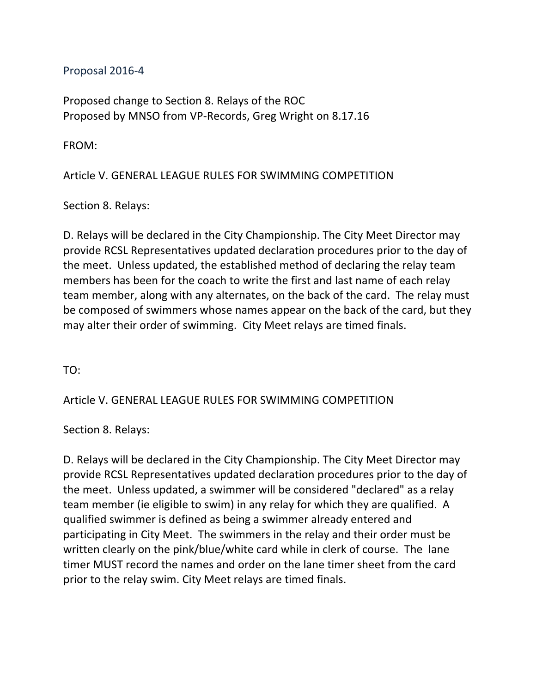Proposal 2016-4

Proposed change to Section 8. Relays of the ROC Proposed by MNSO from VP-Records, Greg Wright on 8.17.16

FROM:

Article V. GENERAL LEAGUE RULES FOR SWIMMING COMPETITION

Section 8. Relays:

D. Relays will be declared in the City Championship. The City Meet Director may provide RCSL Representatives updated declaration procedures prior to the day of the meet. Unless updated, the established method of declaring the relay team members has been for the coach to write the first and last name of each relay team member, along with any alternates, on the back of the card. The relay must be composed of swimmers whose names appear on the back of the card, but they may alter their order of swimming. City Meet relays are timed finals.

TO:

Article V. GENERAL LEAGUE RULES FOR SWIMMING COMPETITION

Section 8. Relays:

D. Relays will be declared in the City Championship. The City Meet Director may provide RCSL Representatives updated declaration procedures prior to the day of the meet. Unless updated, a swimmer will be considered "declared" as a relay team member (ie eligible to swim) in any relay for which they are qualified. A qualified swimmer is defined as being a swimmer already entered and participating in City Meet. The swimmers in the relay and their order must be written clearly on the pink/blue/white card while in clerk of course. The lane timer MUST record the names and order on the lane timer sheet from the card prior to the relay swim. City Meet relays are timed finals.